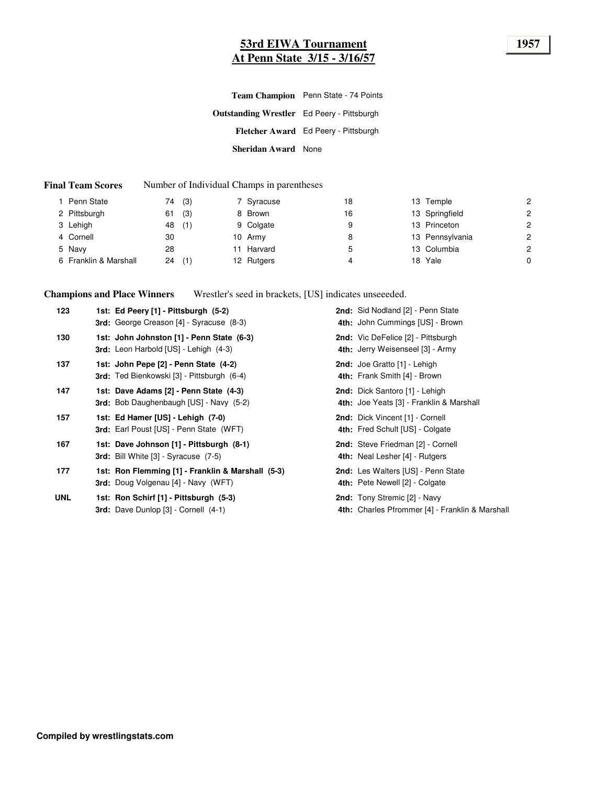# **53rd EIWA Tournament 1957 At Penn State 3/15 - 3/16/57**

|                                                   | Team Champion Penn State - 74 Points |
|---------------------------------------------------|--------------------------------------|
| <b>Outstanding Wrestler</b> Ed Peery - Pittsburgh |                                      |
|                                                   | Fletcher Award Ed Peery - Pittsburgh |
| <b>Sheridan Award</b> None                        |                                      |

#### **Final Team Scores** Number of Individual Champs in parentheses

| Penn State            | (3)<br>74 | 7 Syracuse | 18 | 13 Temple       | 2              |
|-----------------------|-----------|------------|----|-----------------|----------------|
| 2 Pittsburgh          | (3)<br>61 | 8 Brown    | 16 | 13 Springfield  | 2              |
| 3 Lehigh              | (1)<br>48 | 9 Colgate  | 9  | 13 Princeton    | $\overline{c}$ |
| 4 Cornell             | 30        | 10 Army    | 8  | 13 Pennsylvania | $\overline{c}$ |
| 5 Navy                | 28        | Harvard    | ა  | 13 Columbia     | $\overline{c}$ |
| 6 Franklin & Marshall | (1)<br>24 | 12 Rutgers | 4  | 18 Yale         | 0              |
|                       |           |            |    |                 |                |

**Champions and Place Winners** Wrestler's seed in brackets, [US] indicates unseeeded.

| 123        | 1st: Ed Peery [1] - Pittsburgh (5-2)<br>3rd: George Creason [4] - Syracuse (8-3)                | 2nd: Sid Nodland [2] - Penn State<br>4th: John Cummings [US] - Brown                   |
|------------|-------------------------------------------------------------------------------------------------|----------------------------------------------------------------------------------------|
| 130        | 1st: John Johnston [1] - Penn State (6-3)<br>3rd: Leon Harbold [US] - Lehigh (4-3)              | 2nd: Vic DeFelice [2] - Pittsburgh<br>4th: Jerry Weisenseel [3] - Army                 |
| 137        | 1st: John Pepe [2] - Penn State (4-2)<br>3rd: Ted Bienkowski [3] - Pittsburgh (6-4)             | 2nd: Joe Gratto [1] - Lehigh<br>4th: Frank Smith [4] - Brown                           |
| 147        | 1st: Dave Adams [2] - Penn State (4-3)<br><b>3rd:</b> Bob Daughenbaugh [US] - Navy (5-2)        | 2nd: Dick Santoro [1] - Lehigh<br>4th: Joe Yeats [3] - Franklin & Marshall             |
| 157        | 1st: Ed Hamer [US] - Lehigh (7-0)<br><b>3rd:</b> Earl Poust [US] - Penn State (WFT)             | 2nd: Dick Vincent [1] - Cornell<br>4th: Fred Schult [US] - Colgate                     |
| 167        | 1st: Dave Johnson [1] - Pittsburgh (8-1)<br><b>3rd:</b> Bill White [3] - Syracuse (7-5)         | 2nd: Steve Friedman [2] - Cornell<br>4th: Neal Lesher [4] - Rutgers                    |
| 177        | 1st: Ron Flemming [1] - Franklin & Marshall (5-3)<br><b>3rd:</b> Doug Volgenau [4] - Navy (WFT) | 2nd: Les Walters [US] - Penn State<br>4th: Pete Newell [2] - Colgate                   |
| <b>UNL</b> | 1st: Ron Schirf [1] - Pittsburgh (5-3)<br><b>3rd:</b> Dave Dunlop [3] - Cornell (4-1)           | <b>2nd:</b> Tony Stremic [2] - Navy<br>4th: Charles Pfrommer [4] - Franklin & Marshall |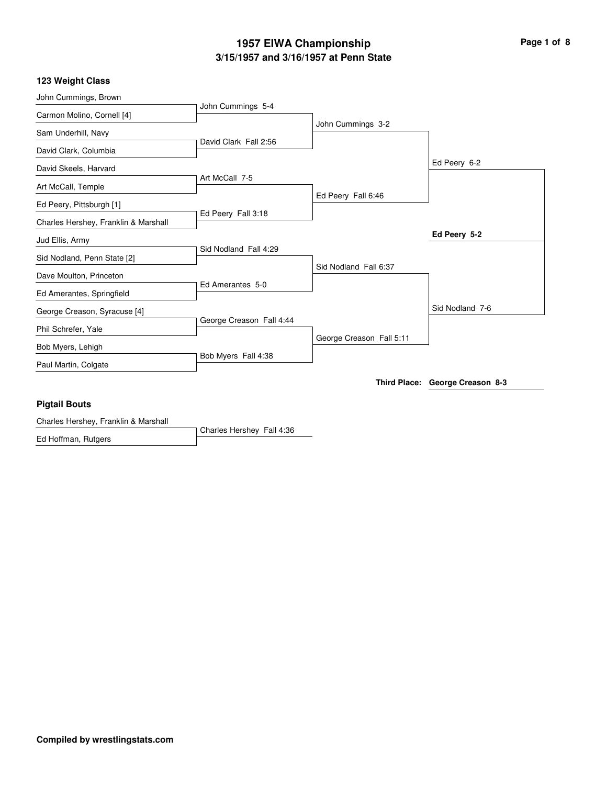# **3/15/1957 and 3/16/1957 at Penn State 1957 EIWA Championship Page 1 of 8**

#### **123 Weight Class**

| Ed Peery 5-2<br>Sid Nodland Fall 4:29<br>Sid Nodland Fall 6:37<br>Ed Amerantes 5-0<br>Sid Nodland 7-6<br>George Creason Fall 4:44<br>George Creason Fall 5:11<br>Bob Myers Fall 4:38<br>Third Place: George Creason 8-3 |
|-------------------------------------------------------------------------------------------------------------------------------------------------------------------------------------------------------------------------|
|                                                                                                                                                                                                                         |
|                                                                                                                                                                                                                         |
|                                                                                                                                                                                                                         |
|                                                                                                                                                                                                                         |
|                                                                                                                                                                                                                         |
|                                                                                                                                                                                                                         |
|                                                                                                                                                                                                                         |
|                                                                                                                                                                                                                         |
|                                                                                                                                                                                                                         |
|                                                                                                                                                                                                                         |
| Ed Peery Fall 3:18                                                                                                                                                                                                      |
| Ed Peery Fall 6:46                                                                                                                                                                                                      |
| Art McCall 7-5                                                                                                                                                                                                          |
| Ed Peery 6-2                                                                                                                                                                                                            |
| David Clark Fall 2:56                                                                                                                                                                                                   |
| John Cummings 3-2                                                                                                                                                                                                       |
| John Cummings 5-4                                                                                                                                                                                                       |
|                                                                                                                                                                                                                         |

#### **Pigtail Bouts**

Charles Hershey Fall 4:36 Charles Hershey, Franklin & Marshall Ed Hoffman, Rutgers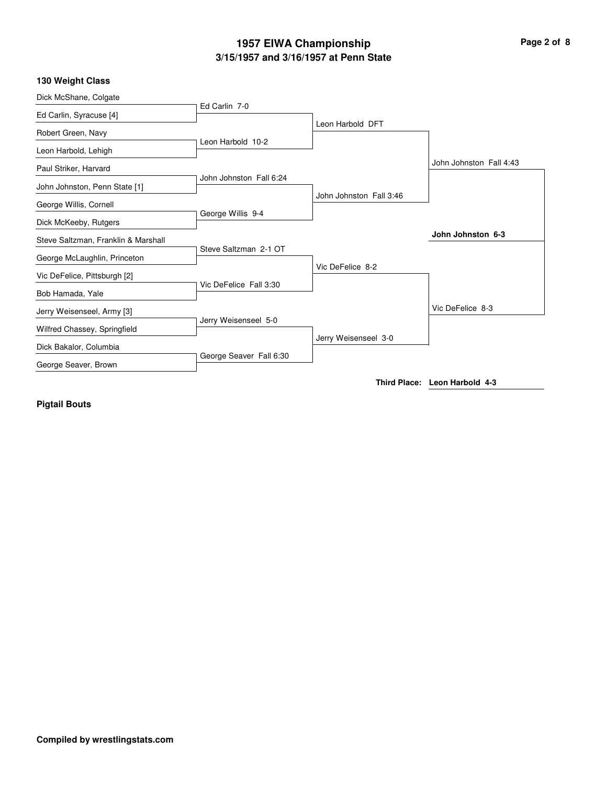# **3/15/1957 and 3/16/1957 at Penn State 1957 EIWA Championship Page 2 of 8**

## **130 Weight Class**

| Dick McShane, Colgate               |                         |                         |                               |
|-------------------------------------|-------------------------|-------------------------|-------------------------------|
| Ed Carlin, Syracuse [4]             | Ed Carlin 7-0           |                         |                               |
|                                     |                         | Leon Harbold DFT        |                               |
| Robert Green, Navy                  | Leon Harbold 10-2       |                         |                               |
| Leon Harbold, Lehigh                |                         |                         |                               |
| Paul Striker, Harvard               |                         |                         | John Johnston Fall 4:43       |
|                                     | John Johnston Fall 6:24 |                         |                               |
| John Johnston, Penn State [1]       |                         | John Johnston Fall 3:46 |                               |
| George Willis, Cornell              |                         |                         |                               |
| Dick McKeeby, Rutgers               | George Willis 9-4       |                         |                               |
| Steve Saltzman, Franklin & Marshall |                         |                         | John Johnston 6-3             |
|                                     | Steve Saltzman 2-1 OT   |                         |                               |
| George McLaughlin, Princeton        |                         | Vic DeFelice 8-2        |                               |
| Vic DeFelice, Pittsburgh [2]        |                         |                         |                               |
| Bob Hamada, Yale                    | Vic DeFelice Fall 3:30  |                         |                               |
| Jerry Weisenseel, Army [3]          |                         |                         | Vic DeFelice 8-3              |
|                                     | Jerry Weisenseel 5-0    |                         |                               |
| Wilfred Chassey, Springfield        |                         | Jerry Weisenseel 3-0    |                               |
| Dick Bakalor, Columbia              |                         |                         |                               |
| George Seaver, Brown                | George Seaver Fall 6:30 |                         |                               |
|                                     |                         |                         | Third Place: Leon Harbold 4-3 |

**Pigtail Bouts**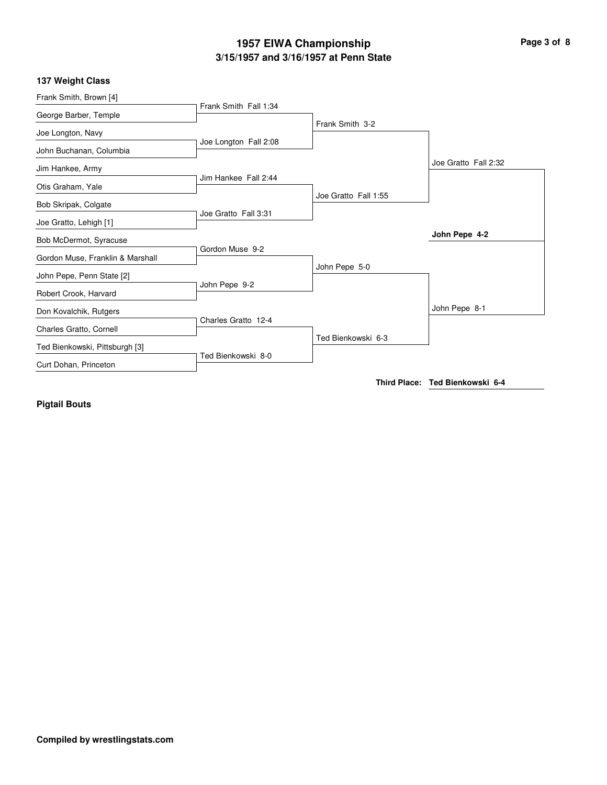# **3/15/1957 and 3/16/1957 at Penn State 1957 EIWA Championship Page 3 of 8**

## **137 Weight Class**

| Frank Smith, Brown [4]           |                       |                      |                                 |
|----------------------------------|-----------------------|----------------------|---------------------------------|
|                                  | Frank Smith Fall 1:34 |                      |                                 |
| George Barber, Temple            |                       | Frank Smith 3-2      |                                 |
| Joe Longton, Navy                |                       |                      |                                 |
|                                  | Joe Longton Fall 2:08 |                      |                                 |
| John Buchanan, Columbia          |                       |                      |                                 |
| Jim Hankee, Army                 |                       |                      | Joe Gratto Fall 2:32            |
|                                  | Jim Hankee Fall 2:44  |                      |                                 |
| Otis Graham, Yale                |                       | Joe Gratto Fall 1:55 |                                 |
| Bob Skripak, Colgate             |                       |                      |                                 |
|                                  | Joe Gratto Fall 3:31  |                      |                                 |
| Joe Gratto, Lehigh [1]           |                       |                      |                                 |
| Bob McDermot, Syracuse           |                       |                      | John Pepe 4-2                   |
|                                  | Gordon Muse 9-2       |                      |                                 |
| Gordon Muse, Franklin & Marshall |                       | John Pepe 5-0        |                                 |
| John Pepe, Penn State [2]        |                       |                      |                                 |
|                                  | John Pepe 9-2         |                      |                                 |
| Robert Crook, Harvard            |                       |                      |                                 |
| Don Kovalchik, Rutgers           |                       |                      | John Pepe 8-1                   |
|                                  | Charles Gratto 12-4   |                      |                                 |
| Charles Gratto, Cornell          |                       | Ted Bienkowski 6-3   |                                 |
| Ted Bienkowski, Pittsburgh [3]   |                       |                      |                                 |
|                                  | Ted Bienkowski 8-0    |                      |                                 |
| Curt Dohan, Princeton            |                       |                      |                                 |
|                                  |                       |                      | Third Place: Ted Bienkowski 6-4 |
|                                  |                       |                      |                                 |

**Pigtail Bouts**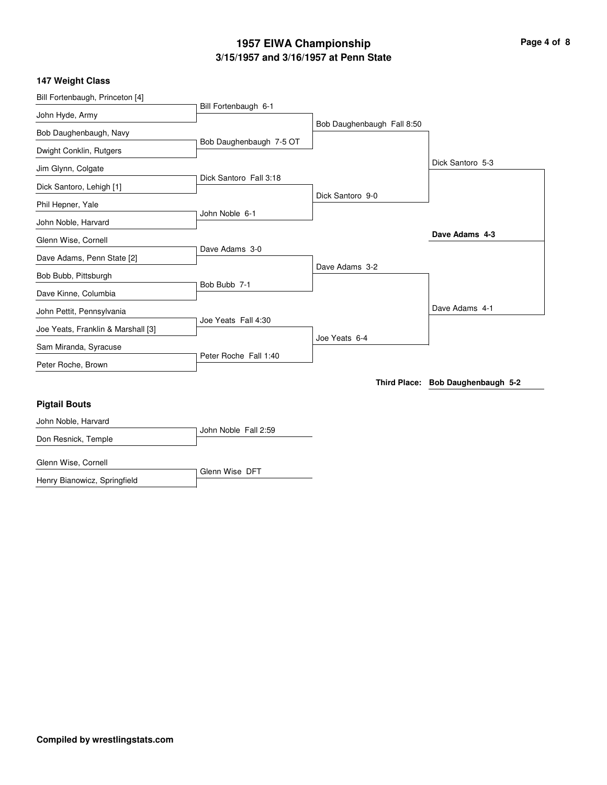# **3/15/1957 and 3/16/1957 at Penn State 1957 EIWA Championship Page 4 of 8**

## **147 Weight Class**

| Bill Fortenbaugh, Princeton [4]    |                         |                            |                                   |
|------------------------------------|-------------------------|----------------------------|-----------------------------------|
| John Hyde, Army                    | Bill Fortenbaugh 6-1    |                            |                                   |
|                                    |                         | Bob Daughenbaugh Fall 8:50 |                                   |
| Bob Daughenbaugh, Navy             | Bob Daughenbaugh 7-5 OT |                            |                                   |
| Dwight Conklin, Rutgers            |                         |                            |                                   |
| Jim Glynn, Colgate                 |                         |                            | Dick Santoro 5-3                  |
|                                    | Dick Santoro Fall 3:18  |                            |                                   |
| Dick Santoro, Lehigh [1]           |                         | Dick Santoro 9-0           |                                   |
| Phil Hepner, Yale                  |                         |                            |                                   |
| John Noble, Harvard                | John Noble 6-1          |                            |                                   |
| Glenn Wise, Cornell                |                         |                            | Dave Adams 4-3                    |
|                                    | Dave Adams 3-0          |                            |                                   |
| Dave Adams, Penn State [2]         |                         | Dave Adams 3-2             |                                   |
| Bob Bubb, Pittsburgh               |                         |                            |                                   |
| Dave Kinne, Columbia               | Bob Bubb 7-1            |                            |                                   |
| John Pettit, Pennsylvania          |                         |                            | Dave Adams 4-1                    |
| Joe Yeats, Franklin & Marshall [3] | Joe Yeats Fall 4:30     |                            |                                   |
| Sam Miranda, Syracuse              |                         | Joe Yeats 6-4              |                                   |
|                                    | Peter Roche Fall 1:40   |                            |                                   |
| Peter Roche, Brown                 |                         |                            |                                   |
|                                    |                         |                            | Third Place: Bob Daughenbaugh 5-2 |
| <b>Pigtail Bouts</b>               |                         |                            |                                   |
| John Noble, Harvard                |                         |                            |                                   |
| Don Resnick, Temple                | John Noble Fall 2:59    |                            |                                   |
| Glenn Wise, Cornell                |                         |                            |                                   |

Glenn Wise DFT Henry Bianowicz, Springfield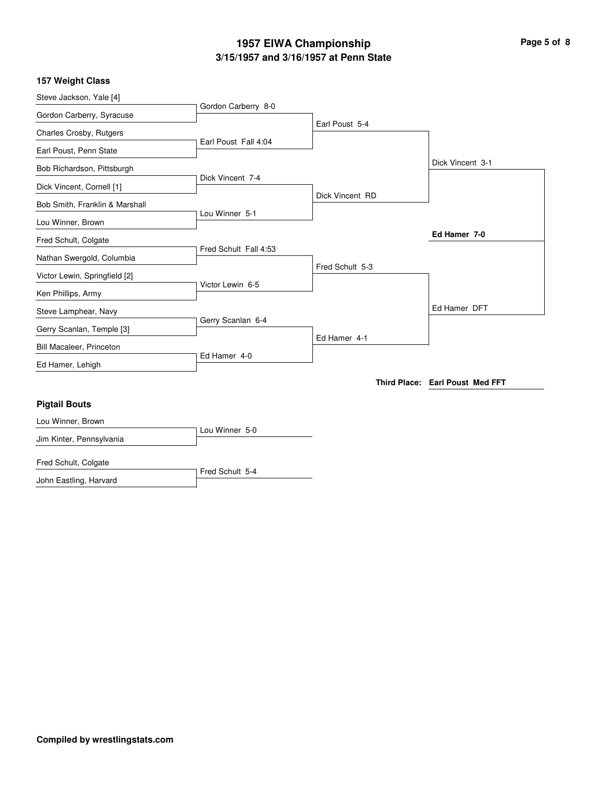# **3/15/1957 and 3/16/1957 at Penn State 1957 EIWA Championship Page 5 of 8**

### **157 Weight Class**

| Steve Jackson, Yale [4]        |                       |                 |                                 |
|--------------------------------|-----------------------|-----------------|---------------------------------|
| Gordon Carberry, Syracuse      | Gordon Carberry 8-0   |                 |                                 |
| Charles Crosby, Rutgers        |                       | Earl Poust 5-4  |                                 |
| Earl Poust, Penn State         | Earl Poust Fall 4:04  |                 |                                 |
| Bob Richardson, Pittsburgh     |                       |                 | Dick Vincent 3-1                |
| Dick Vincent, Cornell [1]      | Dick Vincent 7-4      |                 |                                 |
| Bob Smith, Franklin & Marshall |                       | Dick Vincent RD |                                 |
| Lou Winner, Brown              | Lou Winner 5-1        |                 |                                 |
| Fred Schult, Colgate           |                       |                 | Ed Hamer 7-0                    |
| Nathan Swergold, Columbia      | Fred Schult Fall 4:53 |                 |                                 |
| Victor Lewin, Springfield [2]  |                       | Fred Schult 5-3 |                                 |
| Ken Phillips, Army             | Victor Lewin 6-5      |                 |                                 |
| Steve Lamphear, Navy           |                       |                 | Ed Hamer DFT                    |
| Gerry Scanlan, Temple [3]      | Gerry Scanlan 6-4     |                 |                                 |
| Bill Macaleer, Princeton       |                       | Ed Hamer 4-1    |                                 |
| Ed Hamer, Lehigh               | Ed Hamer 4-0          |                 |                                 |
|                                |                       |                 | Third Place: Earl Poust Med FFT |
| <b>Pigtail Bouts</b>           |                       |                 |                                 |
| Lou Winner, Brown              |                       |                 |                                 |
| Jim Kinter, Pennsylvania       | Lou Winner 5-0        |                 |                                 |
| Fred Schult, Colgate           |                       |                 |                                 |

Fred Schult 5-4 John Eastling, Harvard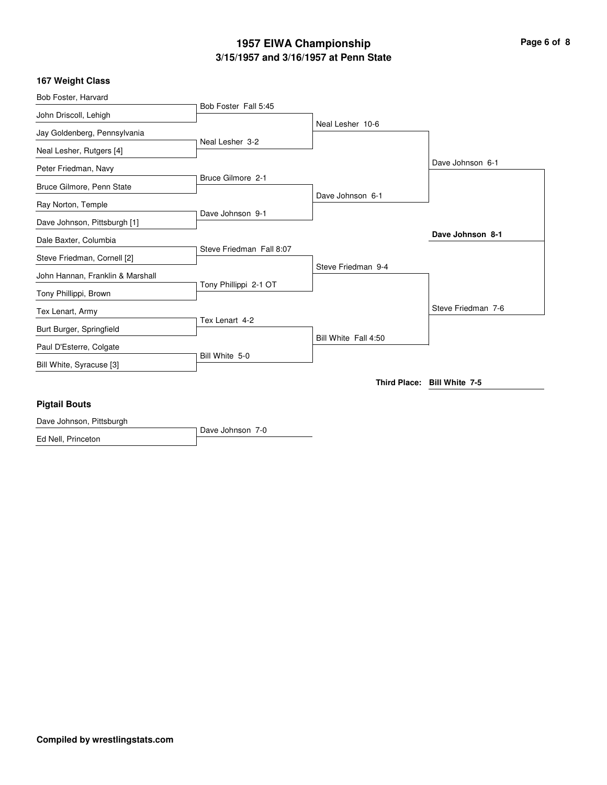# **3/15/1957 and 3/16/1957 at Penn State 1957 EIWA Championship Page 6 of 8**

## **167 Weight Class**

| Bob Foster, Harvard              |                          |                      |                             |
|----------------------------------|--------------------------|----------------------|-----------------------------|
| John Driscoll, Lehigh            | Bob Foster Fall 5:45     |                      |                             |
| Jay Goldenberg, Pennsylvania     |                          | Neal Lesher 10-6     |                             |
| Neal Lesher, Rutgers [4]         | Neal Lesher 3-2          |                      |                             |
| Peter Friedman, Navy             |                          |                      | Dave Johnson 6-1            |
| Bruce Gilmore, Penn State        | Bruce Gilmore 2-1        |                      |                             |
| Ray Norton, Temple               |                          | Dave Johnson 6-1     |                             |
| Dave Johnson, Pittsburgh [1]     | Dave Johnson 9-1         |                      |                             |
| Dale Baxter, Columbia            |                          |                      | Dave Johnson 8-1            |
| Steve Friedman, Cornell [2]      | Steve Friedman Fall 8:07 | Steve Friedman 9-4   |                             |
| John Hannan, Franklin & Marshall | Tony Phillippi 2-1 OT    |                      |                             |
| Tony Phillippi, Brown            |                          |                      |                             |
| Tex Lenart, Army                 | Tex Lenart 4-2           |                      | Steve Friedman 7-6          |
| Burt Burger, Springfield         |                          | Bill White Fall 4:50 |                             |
| Paul D'Esterre, Colgate          | Bill White 5-0           |                      |                             |
| Bill White, Syracuse [3]         |                          |                      |                             |
|                                  |                          |                      | Third Place: Bill White 7-5 |
| <b>Pigtail Bouts</b>             |                          |                      |                             |
| Dave Johnson, Pittsburgh         | Dave Johnson 7-0         |                      |                             |

Ed Nell, Princeton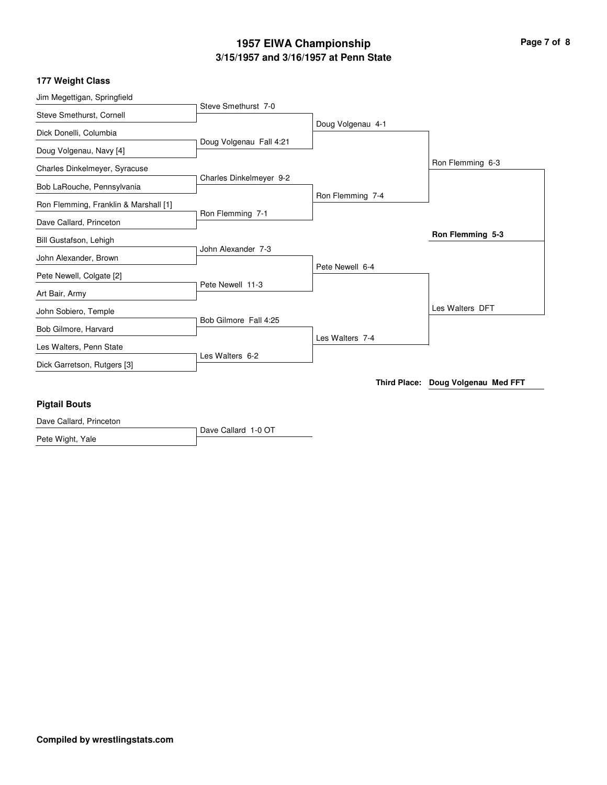# **3/15/1957 and 3/16/1957 at Penn State 1957 EIWA Championship Page 7 of 8**

#### **177 Weight Class**

| Jim Megettigan, Springfield           |                         |                   |                                    |
|---------------------------------------|-------------------------|-------------------|------------------------------------|
| Steve Smethurst, Cornell              | Steve Smethurst 7-0     |                   |                                    |
|                                       |                         | Doug Volgenau 4-1 |                                    |
| Dick Donelli, Columbia                | Doug Volgenau Fall 4:21 |                   |                                    |
| Doug Volgenau, Navy [4]               |                         |                   |                                    |
| Charles Dinkelmeyer, Syracuse         |                         |                   | Ron Flemming 6-3                   |
|                                       | Charles Dinkelmeyer 9-2 |                   |                                    |
| Bob LaRouche, Pennsylvania            |                         | Ron Flemming 7-4  |                                    |
| Ron Flemming, Franklin & Marshall [1] |                         |                   |                                    |
| Dave Callard, Princeton               | Ron Flemming 7-1        |                   |                                    |
| Bill Gustafson, Lehigh                |                         |                   | Ron Flemming 5-3                   |
|                                       | John Alexander 7-3      |                   |                                    |
| John Alexander, Brown                 |                         | Pete Newell 6-4   |                                    |
| Pete Newell, Colgate [2]              |                         |                   |                                    |
| Art Bair, Army                        | Pete Newell 11-3        |                   |                                    |
| John Sobiero, Temple                  |                         |                   | Les Walters DFT                    |
|                                       | Bob Gilmore Fall 4:25   |                   |                                    |
| Bob Gilmore, Harvard                  |                         | Les Walters 7-4   |                                    |
| Les Walters, Penn State               |                         |                   |                                    |
| Dick Garretson, Rutgers [3]           | Les Walters 6-2         |                   |                                    |
|                                       |                         |                   | Third Place: Doug Volgenau Med FFT |
| Diatoil Route                         |                         |                   |                                    |

#### **Pigtail Bouts**

Dave Callard 1-0 OT Dave Callard, Princeton Pete Wight, Yale